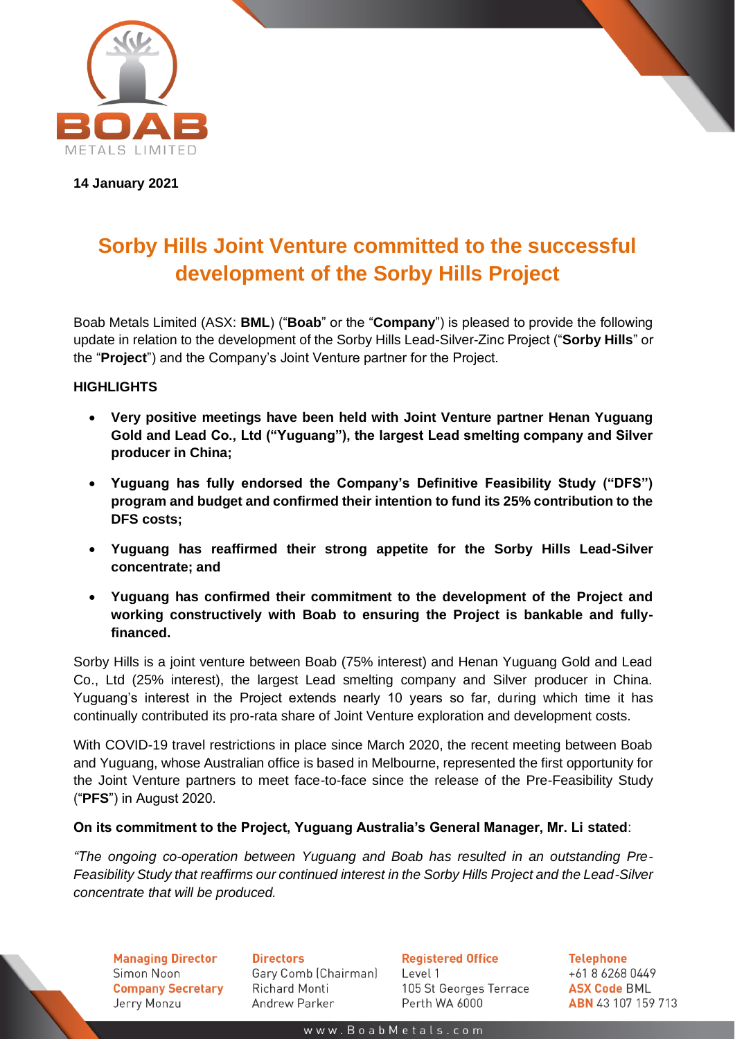

**14 January 2021**

# **Sorby Hills Joint Venture committed to the successful development of the Sorby Hills Project**

Boab Metals Limited (ASX: **BML**) ("**Boab**" or the "**Company**") is pleased to provide the following update in relation to the development of the Sorby Hills Lead-Silver-Zinc Project ("**Sorby Hills**" or the "**Project**") and the Company's Joint Venture partner for the Project.

# **HIGHLIGHTS**

- **Very positive meetings have been held with Joint Venture partner Henan Yuguang Gold and Lead Co., Ltd ("Yuguang"), the largest Lead smelting company and Silver producer in China;**
- **Yuguang has fully endorsed the Company's Definitive Feasibility Study ("DFS") program and budget and confirmed their intention to fund its 25% contribution to the DFS costs;**
- **Yuguang has reaffirmed their strong appetite for the Sorby Hills Lead-Silver concentrate; and**
- **Yuguang has confirmed their commitment to the development of the Project and working constructively with Boab to ensuring the Project is bankable and fullyfinanced.**

Sorby Hills is a joint venture between Boab (75% interest) and Henan Yuguang Gold and Lead Co., Ltd (25% interest), the largest Lead smelting company and Silver producer in China. Yuguang's interest in the Project extends nearly 10 years so far, during which time it has continually contributed its pro-rata share of Joint Venture exploration and development costs.

With COVID-19 travel restrictions in place since March 2020, the recent meeting between Boab and Yuguang, whose Australian office is based in Melbourne, represented the first opportunity for the Joint Venture partners to meet face-to-face since the release of the Pre-Feasibility Study ("**PFS**") in August 2020.

## **On its commitment to the Project, Yuguang Australia's General Manager, Mr. Li stated**:

*"The ongoing co-operation between Yuguang and Boab has resulted in an outstanding Pre-Feasibility Study that reaffirms our continued interest in the Sorby Hills Project and the Lead-Silver concentrate that will be produced.* 

**Managing Director** Simon Noon **Company Secretary** Jerry Monzu

**Directors** Gary Comb (Chairman) Richard Monti Andrew Parker

**Registered Office** Level 1 105 St Georges Terrace Perth WA 6000

**Telephone** +61 8 6268 0449 **ASX Code BML ABN** 43 107 159 713

www.BoabMetals.com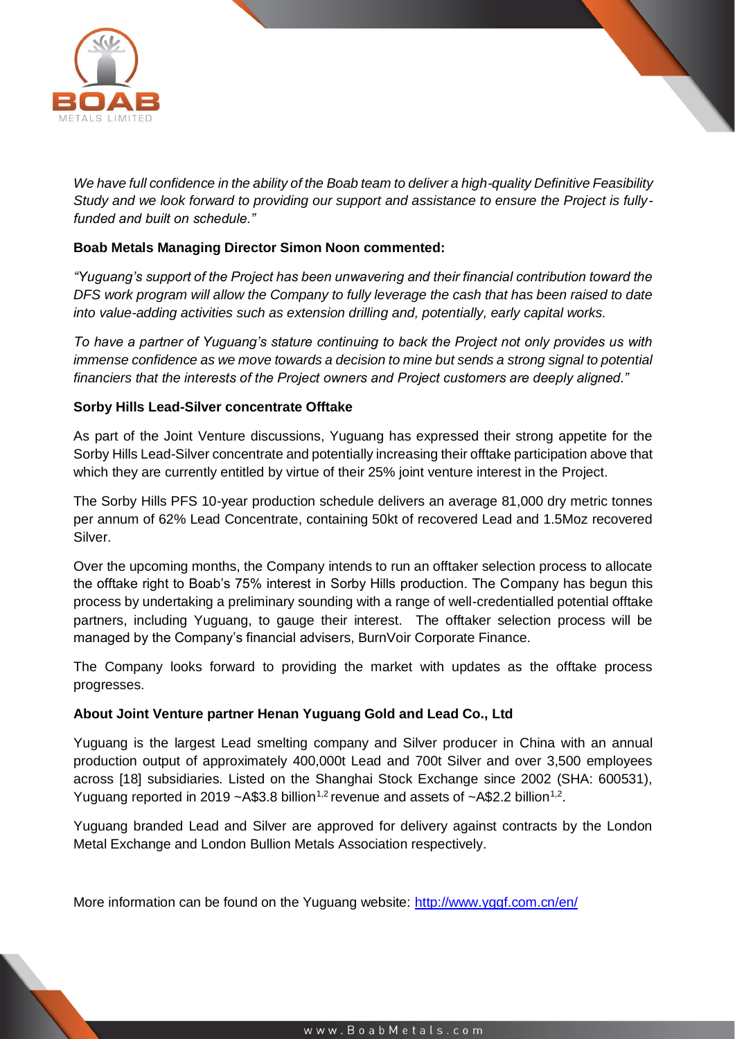

*We have full confidence in the ability of the Boab team to deliver a high-quality Definitive Feasibility Study and we look forward to providing our support and assistance to ensure the Project is fullyfunded and built on schedule."*

### **Boab Metals Managing Director Simon Noon commented:**

*"Yuguang's support of the Project has been unwavering and their financial contribution toward the DFS work program will allow the Company to fully leverage the cash that has been raised to date into value-adding activities such as extension drilling and, potentially, early capital works.*

*To have a partner of Yuguang's stature continuing to back the Project not only provides us with immense confidence as we move towards a decision to mine but sends a strong signal to potential financiers that the interests of the Project owners and Project customers are deeply aligned."*

#### **Sorby Hills Lead-Silver concentrate Offtake**

As part of the Joint Venture discussions, Yuguang has expressed their strong appetite for the Sorby Hills Lead-Silver concentrate and potentially increasing their offtake participation above that which they are currently entitled by virtue of their 25% joint venture interest in the Project.

The Sorby Hills PFS 10-year production schedule delivers an average 81,000 dry metric tonnes per annum of 62% Lead Concentrate, containing 50kt of recovered Lead and 1.5Moz recovered Silver.

Over the upcoming months, the Company intends to run an offtaker selection process to allocate the offtake right to Boab's 75% interest in Sorby Hills production. The Company has begun this process by undertaking a preliminary sounding with a range of well-credentialled potential offtake partners, including Yuguang, to gauge their interest. The offtaker selection process will be managed by the Company's financial advisers, BurnVoir Corporate Finance.

The Company looks forward to providing the market with updates as the offtake process progresses.

#### **About Joint Venture partner Henan Yuguang Gold and Lead Co., Ltd**

Yuguang is the largest Lead smelting company and Silver producer in China with an annual production output of approximately 400,000t Lead and 700t Silver and over 3,500 employees across [18] subsidiaries. Listed on the Shanghai Stock Exchange since 2002 (SHA: 600531), Yuguang reported in 2019  $\sim$  A\$3.8 billion<sup>1,2</sup> revenue and assets of  $\sim$  A\$2.2 billion<sup>1,2</sup>.

Yuguang branded Lead and Silver are approved for delivery against contracts by the London Metal Exchange and London Bullion Metals Association respectively.

More information can be found on the Yuguang website:<http://www.yggf.com.cn/en/>